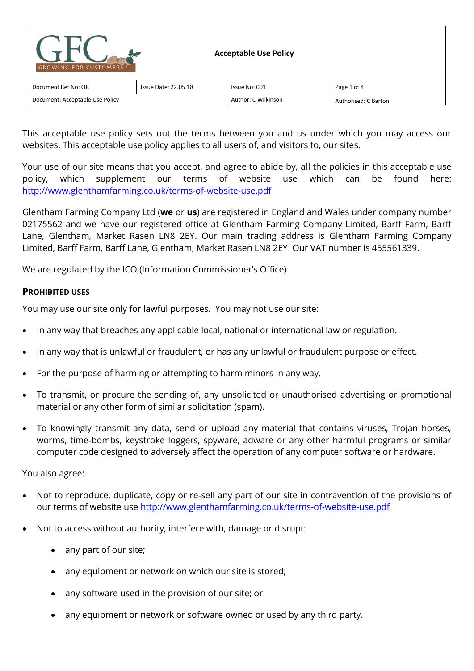| <b>GROWING FOR CUSTOMERS</b>    |                      | <b>Acceptable Use Policy</b> |                      |
|---------------------------------|----------------------|------------------------------|----------------------|
| Document Ref No: QR             | Issue Date: 22.05.18 | Issue No: 001                | Page 1 of 4          |
| Document: Acceptable Use Policy |                      | Author: C Wilkinson          | Authorised: C Barton |

This acceptable use policy sets out the terms between you and us under which you may access our websites. This acceptable use policy applies to all users of, and visitors to, our sites.

Your use of our site means that you accept, and agree to abide by, all the policies in this acceptable use policy, which supplement our terms of website use which can be found here: <http://www.glenthamfarming.co.uk/terms-of-website-use.pdf>

Glentham Farming Company Ltd (**we** or **us**) are registered in England and Wales under company number 02175562 and we have our registered office at Glentham Farming Company Limited, Barff Farm, Barff Lane, Glentham, Market Rasen LN8 2EY. Our main trading address is Glentham Farming Company Limited, Barff Farm, Barff Lane, Glentham, Market Rasen LN8 2EY. Our VAT number is 455561339.

We are regulated by the ICO (Information Commissioner's Office)

## **PROHIBITED USES**

You may use our site only for lawful purposes. You may not use our site:

- In any way that breaches any applicable local, national or international law or regulation.
- In any way that is unlawful or fraudulent, or has any unlawful or fraudulent purpose or effect.
- For the purpose of harming or attempting to harm minors in any way.
- To transmit, or procure the sending of, any unsolicited or unauthorised advertising or promotional material or any other form of similar solicitation (spam).
- To knowingly transmit any data, send or upload any material that contains viruses, Trojan horses, worms, time-bombs, keystroke loggers, spyware, adware or any other harmful programs or similar computer code designed to adversely affect the operation of any computer software or hardware.

You also agree:

- Not to reproduce, duplicate, copy or re-sell any part of our site in contravention of the provisions of our terms of website use<http://www.glenthamfarming.co.uk/terms-of-website-use.pdf>
- Not to access without authority, interfere with, damage or disrupt:
	- any part of our site;
	- any equipment or network on which our site is stored;
	- any software used in the provision of our site; or
	- any equipment or network or software owned or used by any third party.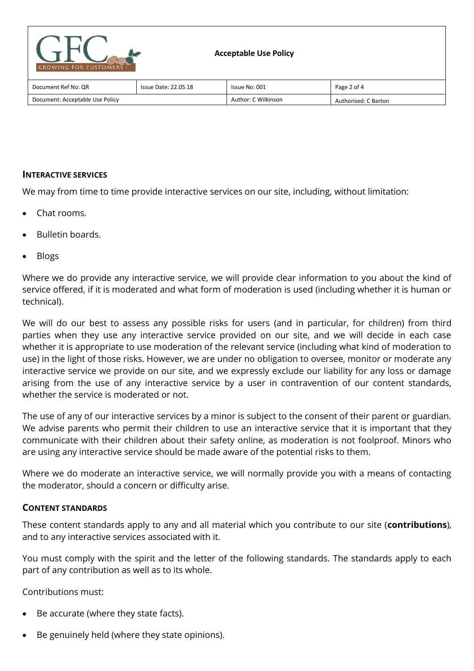| <b>GROWING FOR CUSTOMERS</b>    |                             | <b>Acceptable Use Policy</b> |                      |
|---------------------------------|-----------------------------|------------------------------|----------------------|
| Document Ref No: QR             | <b>Issue Date: 22.05.18</b> | Issue No: 001                | Page 2 of 4          |
| Document: Acceptable Use Policy |                             | Author: C Wilkinson          | Authorised: C Barton |

# **INTERACTIVE SERVICES**

We may from time to time provide interactive services on our site, including, without limitation:

- Chat rooms.
- Bulletin boards.
- Blogs

Where we do provide any interactive service, we will provide clear information to you about the kind of service offered, if it is moderated and what form of moderation is used (including whether it is human or technical).

We will do our best to assess any possible risks for users (and in particular, for children) from third parties when they use any interactive service provided on our site, and we will decide in each case whether it is appropriate to use moderation of the relevant service (including what kind of moderation to use) in the light of those risks. However, we are under no obligation to oversee, monitor or moderate any interactive service we provide on our site, and we expressly exclude our liability for any loss or damage arising from the use of any interactive service by a user in contravention of our content standards, whether the service is moderated or not.

The use of any of our interactive services by a minor is subject to the consent of their parent or guardian. We advise parents who permit their children to use an interactive service that it is important that they communicate with their children about their safety online, as moderation is not foolproof. Minors who are using any interactive service should be made aware of the potential risks to them.

Where we do moderate an interactive service, we will normally provide you with a means of contacting the moderator, should a concern or difficulty arise.

## **CONTENT STANDARDS**

These content standards apply to any and all material which you contribute to our site (**contributions**), and to any interactive services associated with it.

You must comply with the spirit and the letter of the following standards. The standards apply to each part of any contribution as well as to its whole.

Contributions must:

- Be accurate (where they state facts).
- Be genuinely held (where they state opinions).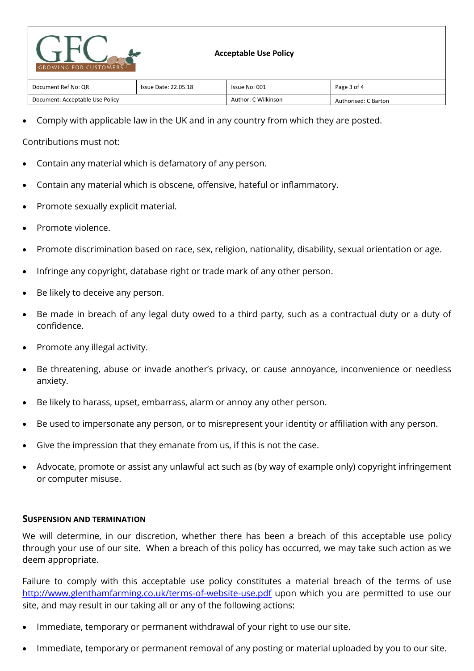

| Document Ref No: QR             | Issue Date: 22.05.18 | Issue No: 001       | Page 3 of 4          |
|---------------------------------|----------------------|---------------------|----------------------|
| Document: Acceptable Use Policy |                      | Author: C Wilkinson | Authorised: C Barton |

Comply with applicable law in the UK and in any country from which they are posted.

## Contributions must not:

- Contain any material which is defamatory of any person.
- Contain any material which is obscene, offensive, hateful or inflammatory.
- Promote sexually explicit material.
- Promote violence.
- Promote discrimination based on race, sex, religion, nationality, disability, sexual orientation or age.
- Infringe any copyright, database right or trade mark of any other person.
- Be likely to deceive any person.
- Be made in breach of any legal duty owed to a third party, such as a contractual duty or a duty of confidence.
- Promote any illegal activity.
- Be threatening, abuse or invade another's privacy, or cause annoyance, inconvenience or needless anxiety.
- Be likely to harass, upset, embarrass, alarm or annoy any other person.
- Be used to impersonate any person, or to misrepresent your identity or affiliation with any person.
- Give the impression that they emanate from us, if this is not the case.
- Advocate, promote or assist any unlawful act such as (by way of example only) copyright infringement or computer misuse.

#### **SUSPENSION AND TERMINATION**

We will determine, in our discretion, whether there has been a breach of this acceptable use policy through your use of our site. When a breach of this policy has occurred, we may take such action as we deem appropriate.

Failure to comply with this acceptable use policy constitutes a material breach of the terms of use <http://www.glenthamfarming.co.uk/terms-of-website-use.pdf> upon which you are permitted to use our site, and may result in our taking all or any of the following actions:

- Immediate, temporary or permanent withdrawal of your right to use our site.
- Immediate, temporary or permanent removal of any posting or material uploaded by you to our site.